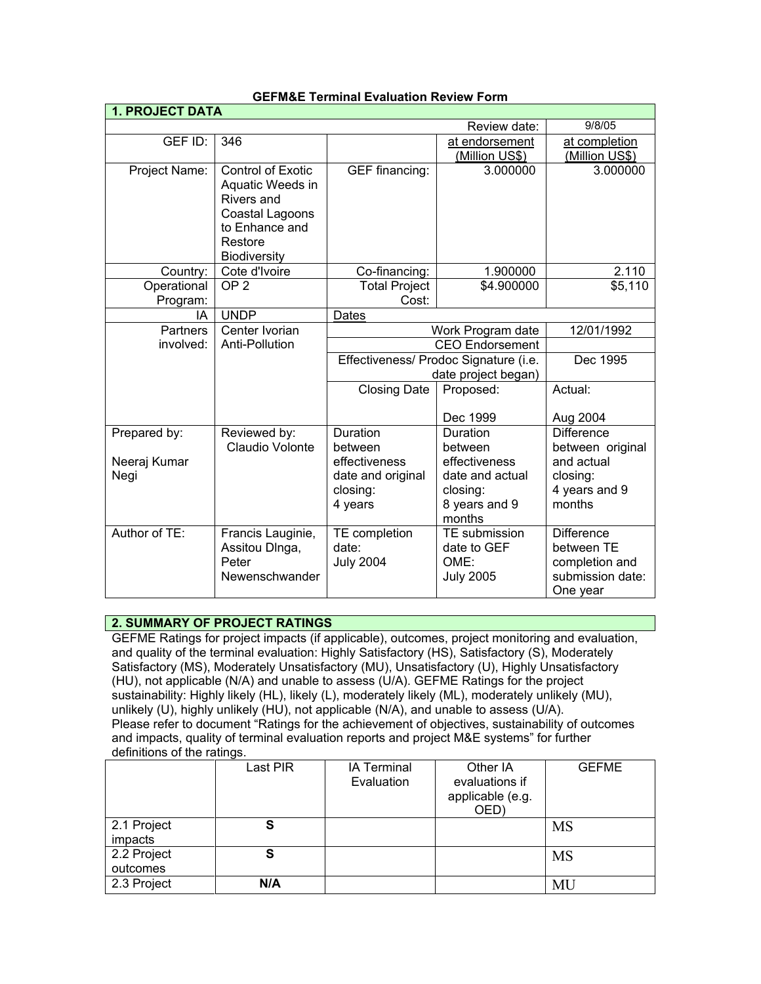| <b>1. PROJECT DATA</b> |                                              |                                       |                         |                   |
|------------------------|----------------------------------------------|---------------------------------------|-------------------------|-------------------|
|                        |                                              |                                       | Review date:            | 9/8/05            |
| GEF ID:                | 346                                          |                                       | at endorsement          | at completion     |
|                        |                                              |                                       | (Million US\$)          | (Million US\$)    |
| Project Name:          | <b>Control of Exotic</b><br>Aquatic Weeds in | GEF financing:                        | 3.000000                | 3.000000          |
|                        | Rivers and                                   |                                       |                         |                   |
|                        | Coastal Lagoons                              |                                       |                         |                   |
|                        | to Enhance and<br>Restore                    |                                       |                         |                   |
|                        | <b>Biodiversity</b>                          |                                       |                         |                   |
| Country:               | Cote d'Ivoire                                | Co-financing:                         | 1.900000                | 2.110             |
| Operational            | OP <sub>2</sub>                              | <b>Total Project</b>                  | \$4.900000              | \$5,110           |
| Program:               |                                              | Cost:                                 |                         |                   |
| IA                     | <b>UNDP</b>                                  | Dates                                 |                         |                   |
| <b>Partners</b>        | Center Ivorian                               | 12/01/1992<br>Work Program date       |                         |                   |
| involved:              | Anti-Pollution                               | <b>CEO Endorsement</b>                |                         |                   |
|                        |                                              | Effectiveness/ Prodoc Signature (i.e. |                         | Dec 1995          |
|                        |                                              | date project began)                   |                         |                   |
|                        |                                              | <b>Closing Date</b>                   | Proposed:               | Actual:           |
|                        |                                              |                                       | Dec 1999                | Aug 2004          |
| Prepared by:           | Reviewed by:                                 | Duration                              | Duration                | <b>Difference</b> |
|                        | Claudio Volonte                              | between                               | between                 | between original  |
| Neeraj Kumar           |                                              | effectiveness                         | effectiveness           | and actual        |
| Negi                   |                                              | date and original                     | date and actual         | closing:          |
|                        |                                              | closing:                              | closing:                | 4 years and 9     |
|                        |                                              | 4 years                               | 8 years and 9<br>months | months            |
| Author of TE:          | Francis Lauginie,                            | TE completion                         | TE submission           | <b>Difference</b> |
|                        | Assitou DInga,                               | date:                                 | date to GEF             | between TE        |
|                        | Peter                                        | <b>July 2004</b>                      | OME:                    | completion and    |
|                        | Newenschwander                               |                                       | <b>July 2005</b>        | submission date:  |
|                        |                                              |                                       |                         | One year          |

#### **GEFM&E Terminal Evaluation Review Form**

## **2. SUMMARY OF PROJECT RATINGS**

GEFME Ratings for project impacts (if applicable), outcomes, project monitoring and evaluation, and quality of the terminal evaluation: Highly Satisfactory (HS), Satisfactory (S), Moderately Satisfactory (MS), Moderately Unsatisfactory (MU), Unsatisfactory (U), Highly Unsatisfactory (HU), not applicable (N/A) and unable to assess (U/A). GEFME Ratings for the project sustainability: Highly likely (HL), likely (L), moderately likely (ML), moderately unlikely (MU), unlikely (U), highly unlikely (HU), not applicable (N/A), and unable to assess (U/A). Please refer to document "Ratings for the achievement of objectives, sustainability of outcomes and impacts, quality of terminal evaluation reports and project M&E systems" for further definitions of the ratings.

|                         | Last PIR | <b>IA Terminal</b><br>Evaluation | Other IA<br>evaluations if<br>applicable (e.g.<br>OED) | <b>GEFME</b> |
|-------------------------|----------|----------------------------------|--------------------------------------------------------|--------------|
| 2.1 Project<br>impacts  | S        |                                  |                                                        | MS           |
| 2.2 Project<br>outcomes | S        |                                  |                                                        | <b>MS</b>    |
| 2.3 Project             | N/A      |                                  |                                                        | MU           |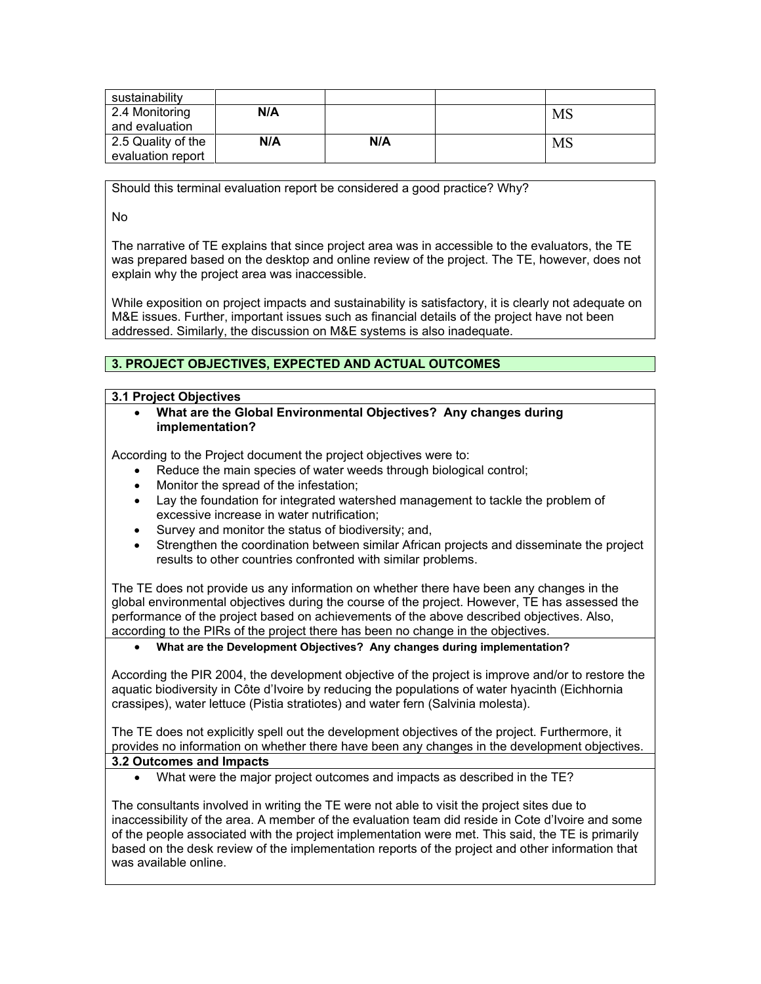| sustainability                          |     |     |    |
|-----------------------------------------|-----|-----|----|
| 2.4 Monitoring<br>and evaluation        | N/A |     | MS |
| 2.5 Quality of the<br>evaluation report | N/A | N/A | MS |

Should this terminal evaluation report be considered a good practice? Why?

No

The narrative of TE explains that since project area was in accessible to the evaluators, the TE was prepared based on the desktop and online review of the project. The TE, however, does not explain why the project area was inaccessible.

While exposition on project impacts and sustainability is satisfactory, it is clearly not adequate on M&E issues. Further, important issues such as financial details of the project have not been addressed. Similarly, the discussion on M&E systems is also inadequate.

# **3. PROJECT OBJECTIVES, EXPECTED AND ACTUAL OUTCOMES**

#### **3.1 Project Objectives**

• **What are the Global Environmental Objectives? Any changes during implementation?** 

According to the Project document the project objectives were to:

- Reduce the main species of water weeds through biological control;
- Monitor the spread of the infestation;
- Lay the foundation for integrated watershed management to tackle the problem of excessive increase in water nutrification;
- Survey and monitor the status of biodiversity; and,
- Strengthen the coordination between similar African projects and disseminate the project results to other countries confronted with similar problems.

The TE does not provide us any information on whether there have been any changes in the global environmental objectives during the course of the project. However, TE has assessed the performance of the project based on achievements of the above described objectives. Also, according to the PIRs of the project there has been no change in the objectives.

### • **What are the Development Objectives? Any changes during implementation?**

According the PIR 2004, the development objective of the project is improve and/or to restore the aquatic biodiversity in Côte d'Ivoire by reducing the populations of water hyacinth (Eichhornia crassipes), water lettuce (Pistia stratiotes) and water fern (Salvinia molesta).

The TE does not explicitly spell out the development objectives of the project. Furthermore, it provides no information on whether there have been any changes in the development objectives. **3.2 Outcomes and Impacts**

• What were the major project outcomes and impacts as described in the TE?

The consultants involved in writing the TE were not able to visit the project sites due to inaccessibility of the area. A member of the evaluation team did reside in Cote d'Ivoire and some of the people associated with the project implementation were met. This said, the TE is primarily based on the desk review of the implementation reports of the project and other information that was available online.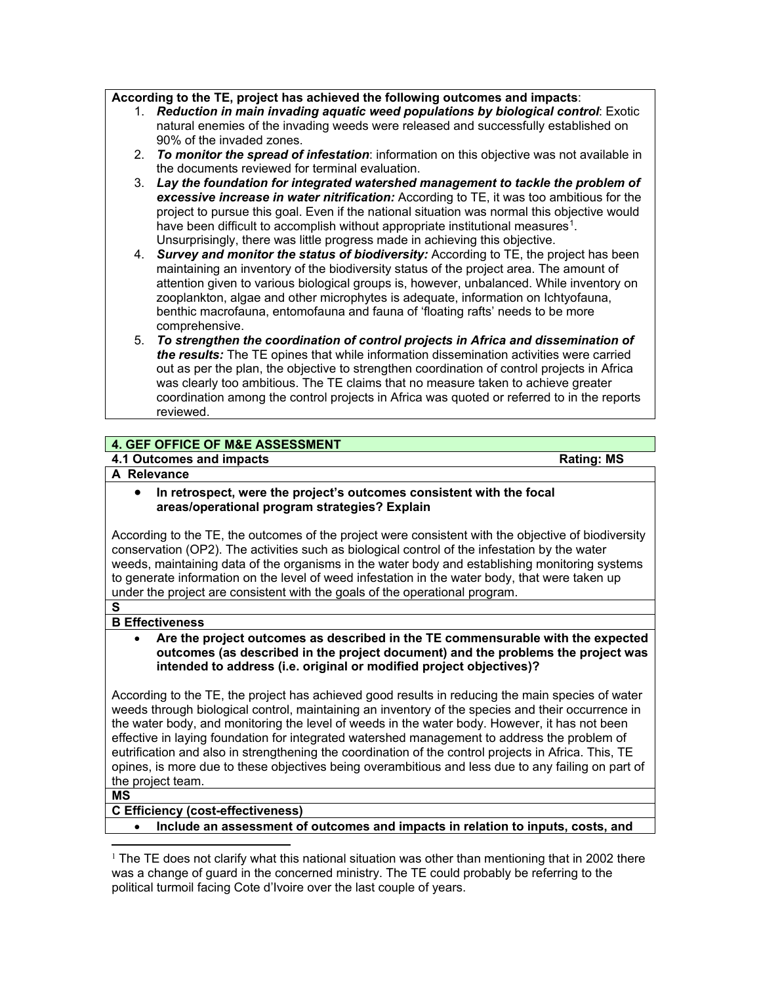### **According to the TE, project has achieved the following outcomes and impacts**:

- 1. *Reduction in main invading aquatic weed populations by biological control*: Exotic natural enemies of the invading weeds were released and successfully established on 90% of the invaded zones.
- 2. *To monitor the spread of infestation*: information on this objective was not available in the documents reviewed for terminal evaluation.
- 3. *Lay the foundation for integrated watershed management to tackle the problem of excessive increase in water nitrification:* According to TE, it was too ambitious for the project to pursue this goal. Even if the national situation was normal this objective would have been difficult to accomplish without appropriate institutional measures<sup>1</sup>. Unsurprisingly, there was little progress made in achieving this objective.
- 4. *Survey and monitor the status of biodiversity:* According to TE, the project has been maintaining an inventory of the biodiversity status of the project area. The amount of attention given to various biological groups is, however, unbalanced. While inventory on zooplankton, algae and other microphytes is adequate, information on Ichtyofauna, benthic macrofauna, entomofauna and fauna of 'floating rafts' needs to be more comprehensive.
- 5. *To strengthen the coordination of control projects in Africa and dissemination of the results:* The TE opines that while information dissemination activities were carried out as per the plan, the objective to strengthen coordination of control projects in Africa was clearly too ambitious. The TE claims that no measure taken to achieve greater coordination among the control projects in Africa was quoted or referred to in the reports reviewed.

### **4. GEF OFFICE OF M&E ASSESSMENT**

### **4.1 Outcomes and impacts All and impacts Rating: MS**

#### **A Relevance**

• **In retrospect, were the project's outcomes consistent with the focal areas/operational program strategies? Explain**

According to the TE, the outcomes of the project were consistent with the objective of biodiversity conservation (OP2). The activities such as biological control of the infestation by the water weeds, maintaining data of the organisms in the water body and establishing monitoring systems to generate information on the level of weed infestation in the water body, that were taken up under the project are consistent with the goals of the operational program.

### **B Effectiveness**

• **Are the project outcomes as described in the TE commensurable with the expected outcomes (as described in the project document) and the problems the project was intended to address (i.e. original or modified project objectives)?** 

According to the TE, the project has achieved good results in reducing the main species of water weeds through biological control, maintaining an inventory of the species and their occurrence in the water body, and monitoring the level of weeds in the water body. However, it has not been effective in laying foundation for integrated watershed management to address the problem of eutrification and also in strengthening the coordination of the control projects in Africa. This, TE opines, is more due to these objectives being overambitious and less due to any failing on part of the project team.

**MS**

**S**

#### **C Efficiency (cost-effectiveness)**

• **Include an assessment of outcomes and impacts in relation to inputs, costs, and** 

<span id="page-2-0"></span> $\overline{a}$  $1$  The TE does not clarify what this national situation was other than mentioning that in 2002 there was a change of guard in the concerned ministry. The TE could probably be referring to the political turmoil facing Cote d'Ivoire over the last couple of years.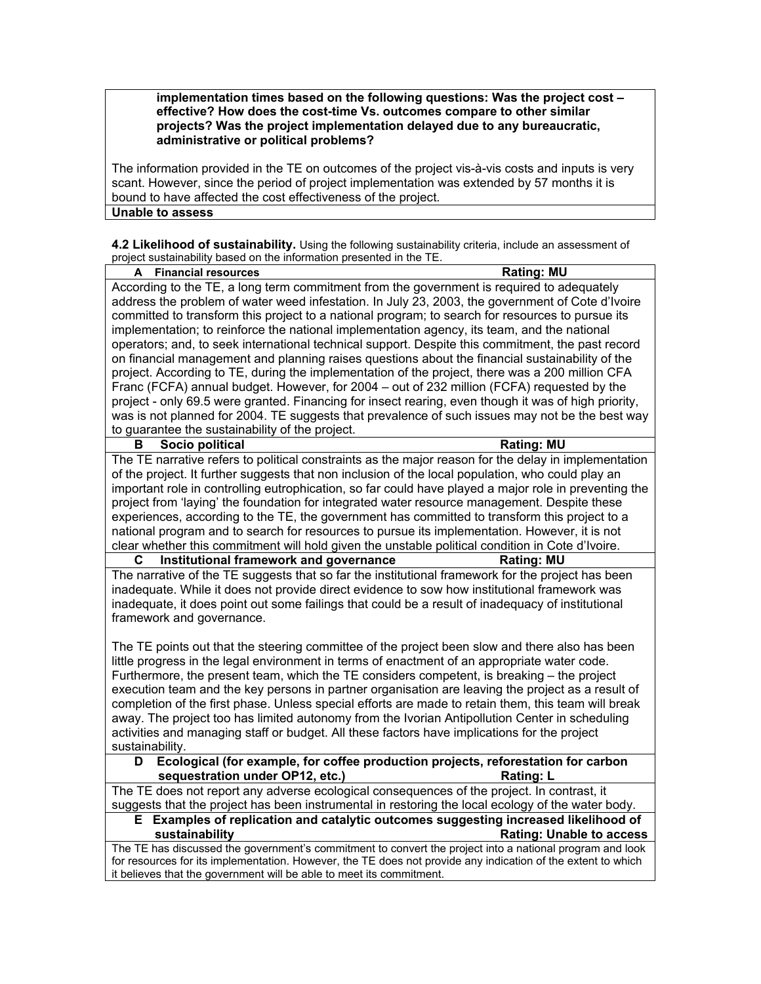**implementation times based on the following questions: Was the project cost – effective? How does the cost-time Vs. outcomes compare to other similar projects? Was the project implementation delayed due to any bureaucratic, administrative or political problems?**

The information provided in the TE on outcomes of the project vis-à-vis costs and inputs is very scant. However, since the period of project implementation was extended by 57 months it is bound to have affected the cost effectiveness of the project. **Unable to assess**

**4.2 Likelihood of sustainability.** Using the following sustainability criteria, include an assessment of project sustainability based on the information presented in the TE.

| project sustainability based on the information presented in the TE.                                         |                                                                                   |
|--------------------------------------------------------------------------------------------------------------|-----------------------------------------------------------------------------------|
| <b>Financial resources</b>                                                                                   | <b>Rating: MU</b>                                                                 |
| According to the TE, a long term commitment from the government is required to adequately                    |                                                                                   |
| address the problem of water weed infestation. In July 23, 2003, the government of Cote d'Ivoire             |                                                                                   |
| committed to transform this project to a national program; to search for resources to pursue its             |                                                                                   |
| implementation; to reinforce the national implementation agency, its team, and the national                  |                                                                                   |
| operators; and, to seek international technical support. Despite this commitment, the past record            |                                                                                   |
| on financial management and planning raises questions about the financial sustainability of the              |                                                                                   |
| project. According to TE, during the implementation of the project, there was a 200 million CFA              |                                                                                   |
| Franc (FCFA) annual budget. However, for 2004 - out of 232 million (FCFA) requested by the                   |                                                                                   |
| project - only 69.5 were granted. Financing for insect rearing, even though it was of high priority,         |                                                                                   |
| was is not planned for 2004. TE suggests that prevalence of such issues may not be the best way              |                                                                                   |
| to guarantee the sustainability of the project.                                                              |                                                                                   |
| Socio political<br>В                                                                                         | <b>Rating: MU</b>                                                                 |
| The TE narrative refers to political constraints as the major reason for the delay in implementation         |                                                                                   |
| of the project. It further suggests that non inclusion of the local population, who could play an            |                                                                                   |
| important role in controlling eutrophication, so far could have played a major role in preventing the        |                                                                                   |
| project from 'laying' the foundation for integrated water resource management. Despite these                 |                                                                                   |
| experiences, according to the TE, the government has committed to transform this project to a                |                                                                                   |
| national program and to search for resources to pursue its implementation. However, it is not                |                                                                                   |
| clear whether this commitment will hold given the unstable political condition in Cote d'Ivoire.             |                                                                                   |
| Institutional framework and governance<br>С                                                                  | <b>Rating: MU</b>                                                                 |
| The narrative of the TE suggests that so far the institutional framework for the project has been            |                                                                                   |
| inadequate. While it does not provide direct evidence to sow how institutional framework was                 |                                                                                   |
| inadequate, it does point out some failings that could be a result of inadequacy of institutional            |                                                                                   |
| framework and governance.                                                                                    |                                                                                   |
|                                                                                                              |                                                                                   |
| The TE points out that the steering committee of the project been slow and there also has been               |                                                                                   |
| little progress in the legal environment in terms of enactment of an appropriate water code.                 |                                                                                   |
| Furthermore, the present team, which the TE considers competent, is breaking - the project                   |                                                                                   |
| execution team and the key persons in partner organisation are leaving the project as a result of            |                                                                                   |
| completion of the first phase. Unless special efforts are made to retain them, this team will break          |                                                                                   |
| away. The project too has limited autonomy from the Ivorian Antipollution Center in scheduling               |                                                                                   |
| activities and managing staff or budget. All these factors have implications for the project                 |                                                                                   |
| sustainability.                                                                                              |                                                                                   |
| Ecological (for example, for coffee production projects, reforestation for carbon<br>D                       |                                                                                   |
| sequestration under OP12, etc.)                                                                              | <b>Rating: L</b>                                                                  |
| The TE does not report any adverse ecological consequences of the project. In contrast, it                   |                                                                                   |
| suggests that the project has been instrumental in restoring the local ecology of the water body.            |                                                                                   |
| Е.                                                                                                           | Examples of replication and catalytic outcomes suggesting increased likelihood of |
| sustainability                                                                                               | <b>Rating: Unable to access</b>                                                   |
| The TE has discussed the government's commitment to convert the project into a national program and look     |                                                                                   |
| for resources for its implementation. However, the TE does not provide any indication of the extent to which |                                                                                   |
| it believes that the government will be able to meet its commitment.                                         |                                                                                   |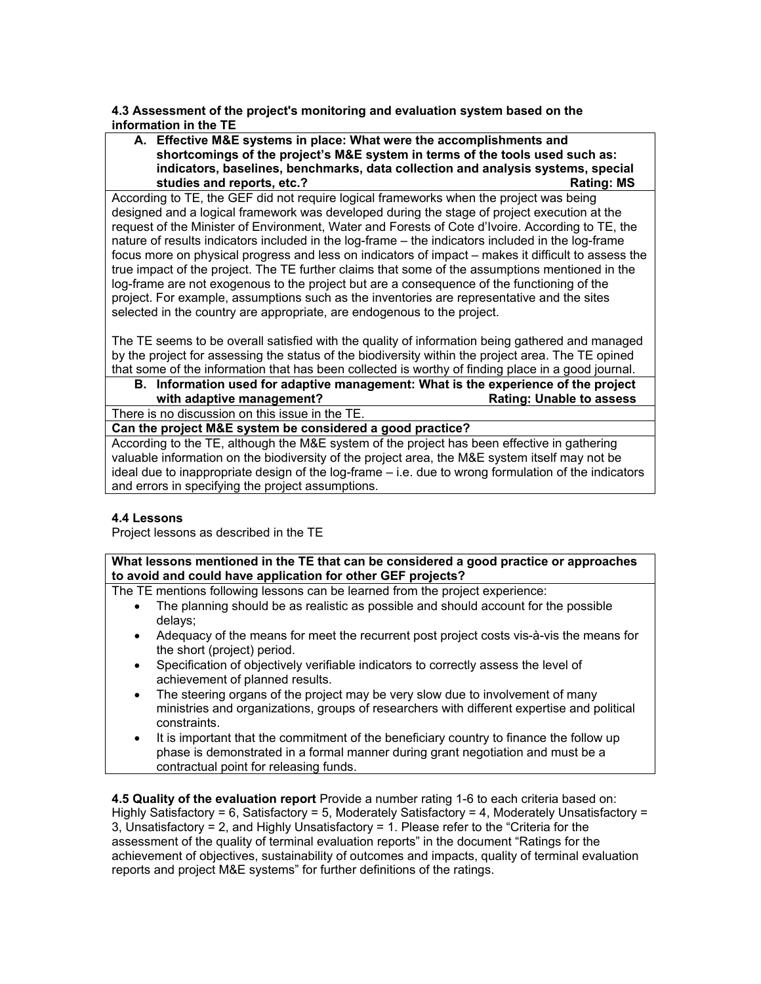**4.3 Assessment of the project's monitoring and evaluation system based on the information in the TE** 

**A. Effective M&E systems in place: What were the accomplishments and shortcomings of the project's M&E system in terms of the tools used such as: indicators, baselines, benchmarks, data collection and analysis systems, special**  studies and reports, etc.?

According to TE, the GEF did not require logical frameworks when the project was being designed and a logical framework was developed during the stage of project execution at the request of the Minister of Environment, Water and Forests of Cote d'Ivoire. According to TE, the nature of results indicators included in the log-frame – the indicators included in the log-frame focus more on physical progress and less on indicators of impact – makes it difficult to assess the true impact of the project. The TE further claims that some of the assumptions mentioned in the log-frame are not exogenous to the project but are a consequence of the functioning of the project. For example, assumptions such as the inventories are representative and the sites selected in the country are appropriate, are endogenous to the project.

The TE seems to be overall satisfied with the quality of information being gathered and managed by the project for assessing the status of the biodiversity within the project area. The TE opined that some of the information that has been collected is worthy of finding place in a good journal.

**B. Information used for adaptive management: What is the experience of the project with adaptive management?** 

There is no discussion on this issue in the TE.

**Can the project M&E system be considered a good practice?**

According to the TE, although the M&E system of the project has been effective in gathering valuable information on the biodiversity of the project area, the M&E system itself may not be ideal due to inappropriate design of the log-frame – i.e. due to wrong formulation of the indicators and errors in specifying the project assumptions.

### **4.4 Lessons**

Project lessons as described in the TE

**What lessons mentioned in the TE that can be considered a good practice or approaches to avoid and could have application for other GEF projects?**

The TE mentions following lessons can be learned from the project experience:

- The planning should be as realistic as possible and should account for the possible delays;
- Adequacy of the means for meet the recurrent post project costs vis-à-vis the means for the short (project) period.
- Specification of objectively verifiable indicators to correctly assess the level of achievement of planned results.
- The steering organs of the project may be very slow due to involvement of many ministries and organizations, groups of researchers with different expertise and political constraints.
- It is important that the commitment of the beneficiary country to finance the follow up phase is demonstrated in a formal manner during grant negotiation and must be a contractual point for releasing funds.

**4.5 Quality of the evaluation report** Provide a number rating 1-6 to each criteria based on: Highly Satisfactory = 6, Satisfactory = 5, Moderately Satisfactory = 4, Moderately Unsatisfactory = 3, Unsatisfactory = 2, and Highly Unsatisfactory = 1. Please refer to the "Criteria for the assessment of the quality of terminal evaluation reports" in the document "Ratings for the achievement of objectives, sustainability of outcomes and impacts, quality of terminal evaluation reports and project M&E systems" for further definitions of the ratings.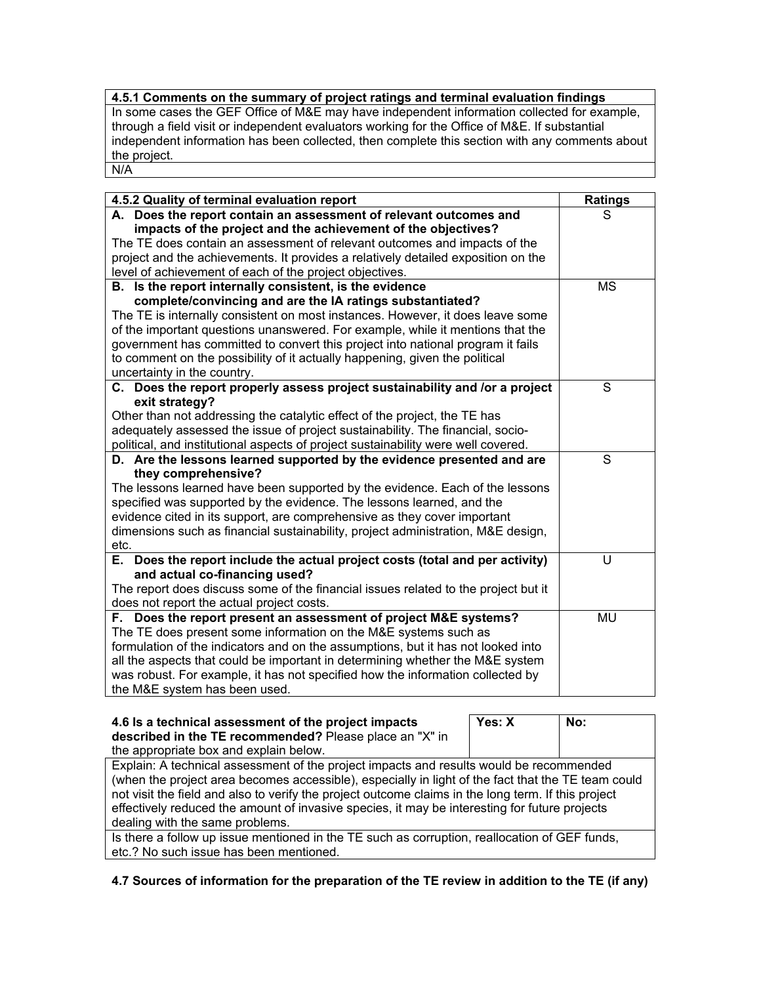# **4.5.1 Comments on the summary of project ratings and terminal evaluation findings**

In some cases the GEF Office of M&E may have independent information collected for example, through a field visit or independent evaluators working for the Office of M&E. If substantial independent information has been collected, then complete this section with any comments about the project. N/A

| 4.5.2 Quality of terminal evaluation report                                                   | <b>Ratings</b> |
|-----------------------------------------------------------------------------------------------|----------------|
| A. Does the report contain an assessment of relevant outcomes and                             | S              |
| impacts of the project and the achievement of the objectives?                                 |                |
| The TE does contain an assessment of relevant outcomes and impacts of the                     |                |
| project and the achievements. It provides a relatively detailed exposition on the             |                |
| level of achievement of each of the project objectives.                                       |                |
| B. Is the report internally consistent, is the evidence                                       | <b>MS</b>      |
| complete/convincing and are the IA ratings substantiated?                                     |                |
| The TE is internally consistent on most instances. However, it does leave some                |                |
| of the important questions unanswered. For example, while it mentions that the                |                |
| government has committed to convert this project into national program it fails               |                |
| to comment on the possibility of it actually happening, given the political                   |                |
| uncertainty in the country.                                                                   |                |
| C. Does the report properly assess project sustainability and lor a project<br>exit strategy? | S              |
| Other than not addressing the catalytic effect of the project, the TE has                     |                |
| adequately assessed the issue of project sustainability. The financial, socio-                |                |
| political, and institutional aspects of project sustainability were well covered.             |                |
| D. Are the lessons learned supported by the evidence presented and are                        | S              |
| they comprehensive?                                                                           |                |
| The lessons learned have been supported by the evidence. Each of the lessons                  |                |
| specified was supported by the evidence. The lessons learned, and the                         |                |
| evidence cited in its support, are comprehensive as they cover important                      |                |
| dimensions such as financial sustainability, project administration, M&E design,              |                |
| etc.                                                                                          |                |
| E. Does the report include the actual project costs (total and per activity)                  | U              |
| and actual co-financing used?                                                                 |                |
| The report does discuss some of the financial issues related to the project but it            |                |
| does not report the actual project costs.                                                     |                |
| F. Does the report present an assessment of project M&E systems?                              | <b>MU</b>      |
| The TE does present some information on the M&E systems such as                               |                |
| formulation of the indicators and on the assumptions, but it has not looked into              |                |
| all the aspects that could be important in determining whether the M&E system                 |                |
| was robust. For example, it has not specified how the information collected by                |                |
| the M&E system has been used.                                                                 |                |

| 4.6 Is a technical assessment of the project impacts<br>described in the TE recommended? Please place an "X" in | Yes: X | No: |
|-----------------------------------------------------------------------------------------------------------------|--------|-----|
| the appropriate box and explain below.                                                                          |        |     |
| Explain: A technical assessment of the project impacts and results would be recommended                         |        |     |
| (when the project area becomes accessible), especially in light of the fact that the TE team could              |        |     |
| not visit the field and also to verify the project outcome claims in the long term. If this project             |        |     |
| effectively reduced the amount of invasive species, it may be interesting for future projects                   |        |     |
| dealing with the same problems.                                                                                 |        |     |
| Is there a follow up issue mentioned in the TE such as corruption, reallocation of GEF funds,                   |        |     |
| etc.? No such issue has been mentioned.                                                                         |        |     |

**4.7 Sources of information for the preparation of the TE review in addition to the TE (if any)**